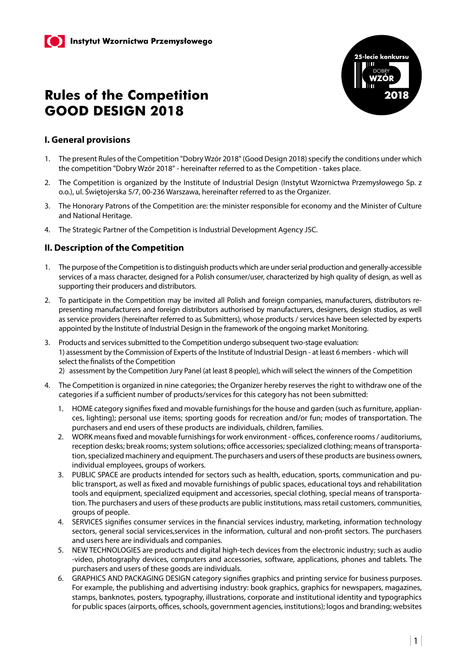

### **I. General provisions**

- 1. The present Rules of the Competition "Dobry Wzór 2018" (Good Design 2018) specify the conditions under which the competition "Dobry Wzór 2018" - hereinafter referred to as the Competition - takes place.
- 2. The Competition is organized by the Institute of Industrial Design (Instytut Wzornictwa Przemysłowego Sp. z o.o.), ul. Świętojerska 5/7, 00-236 Warszawa, hereinafter referred to as the Organizer.
- 3. The Honorary Patrons of the Competition are: the minister responsible for economy and the Minister of Culture and National Heritage.
- 4. The Strategic Partner of the Competition is Industrial Development Agency JSC.

### **II. Description of the Competition**

- 1. The purpose of the Competition is to distinguish products which are under serial production and generally-accessible services of a mass character, designed for a Polish consumer/user, characterized by high quality of design, as well as supporting their producers and distributors.
- 2. To participate in the Competition may be invited all Polish and foreign companies, manufacturers, distributors representing manufacturers and foreign distributors authorised by manufacturers, designers, design studios, as well as service providers (hereinafter referred to as Submitters), whose products / services have been selected by experts appointed by the Institute of Industrial Design in the framework of the ongoing market Monitoring.
- 3. Products and services submitted to the Competition undergo subsequent two-stage evaluation: 1) assessment by the Commission of Experts of the Institute of Industrial Design - at least 6 members - which will select the finalists of the Competition
	- 2) assessment by the Competition Jury Panel (at least 8 people), which will select the winners of the Competition
- 4. The Competition is organized in nine categories; the Organizer hereby reserves the right to withdraw one of the categories if a sufficient number of products/services for this category has not been submitted:
	- 1. HOME category signifies fixed and movable furnishings for the house and garden (such as furniture, appliances, lighting); personal use items; sporting goods for recreation and/or fun; modes of transportation. The purchasers and end users of these products are individuals, children, families.
	- 2. WORK means fixed and movable furnishings for work environment offices, conference rooms / auditoriums, reception desks; break rooms; system solutions; office accessories; specialized clothing; means of transportation, specialized machinery and equipment. The purchasers and users of these products are business owners, individual employees, groups of workers.
	- 3. PUBLIC SPACE are products intended for sectors such as health, education, sports, communication and public transport, as well as fixed and movable furnishings of public spaces, educational toys and rehabilitation tools and equipment, specialized equipment and accessories, special clothing, special means of transportation. The purchasers and users of these products are public institutions, mass retail customers, communities, groups of people.
	- 4. SERVICES signifies consumer services in the financial services industry, marketing, information technology sectors, general social services,services in the information, cultural and non-profit sectors. The purchasers and users here are individuals and companies.
	- 5. NEW TECHNOLOGIES are products and digital high-tech devices from the electronic industry; such as audio -video, photography devices, computers and accessories, software, applications, phones and tablets. The purchasers and users of these goods are individuals.
	- 6. GRAPHICS AND PACKAGING DESIGN category signifies graphics and printing service for business purposes. For example, the publishing and advertising industry: book graphics, graphics for newspapers, magazines, stamps, banknotes, posters, typography, illustrations, corporate and institutional identity and typographics for public spaces (airports, offices, schools, government agencies, institutions); logos and branding; websites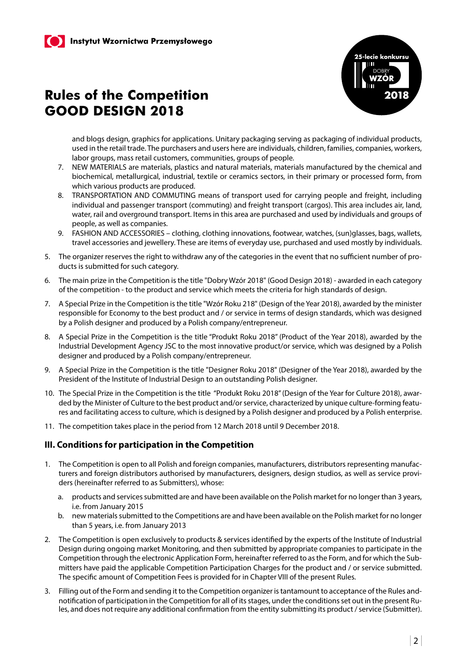

and blogs design, graphics for applications. Unitary packaging serving as packaging of individual products, used in the retail trade. The purchasers and users here are individuals, children, families, companies, workers, labor groups, mass retail customers, communities, groups of people.

- 7. NEW MATERIALS are materials, plastics and natural materials, materials manufactured by the chemical and biochemical, metallurgical, industrial, textile or ceramics sectors, in their primary or processed form, from which various products are produced.
- 8. TRANSPORTATION AND COMMUTING means of transport used for carrying people and freight, including individual and passenger transport (commuting) and freight transport (cargos). This area includes air, land, water, rail and overground transport. Items in this area are purchased and used by individuals and groups of people, as well as companies.
- 9. FASHION AND ACCESSORIES clothing, clothing innovations, footwear, watches, (sun)glasses, bags, wallets, travel accessories and jewellery. These are items of everyday use, purchased and used mostly by individuals.
- 5. The organizer reserves the right to withdraw any of the categories in the event that no sufficient number of products is submitted for such category.
- 6. The main prize in the Competition is the title "Dobry Wzór 2018" (Good Design 2018) awarded in each category of the competition - to the product and service which meets the criteria for high standards of design.
- 7. A Special Prize in the Competition is the title "Wzór Roku 218" (Design of the Year 2018), awarded by the minister responsible for Economy to the best product and / or service in terms of design standards, which was designed by a Polish designer and produced by a Polish company/entrepreneur.
- 8. A Special Prize in the Competition is the title "Produkt Roku 2018" (Product of the Year 2018), awarded by the Industrial Development Agency JSC to the most innovative product/or service, which was designed by a Polish designer and produced by a Polish company/entrepreneur.
- 9. A Special Prize in the Competition is the title "Designer Roku 2018" (Designer of the Year 2018), awarded by the President of the Institute of Industrial Design to an outstanding Polish designer.
- 10. The Special Prize in the Competition is the title "Produkt Roku 2018" (Design of the Year for Culture 2018), awarded by the Minister of Culture to the best product and/or service, characterized by unique culture-forming features and facilitating access to culture, which is designed by a Polish designer and produced by a Polish enterprise.
- 11. The competition takes place in the period from 12 March 2018 until 9 December 2018.

### **III. Conditions for participation in the Competition**

- 1. The Competition is open to all Polish and foreign companies, manufacturers, distributors representing manufacturers and foreign distributors authorised by manufacturers, designers, design studios, as well as service providers (hereinafter referred to as Submitters), whose:
	- a. products and services submitted are and have been available on the Polish market for no longer than 3 years, i.e. from January 2015
	- b. new materials submitted to the Competitions are and have been available on the Polish market for no longer than 5 years, i.e. from January 2013
- 2. The Competition is open exclusively to products & services identified by the experts of the Institute of Industrial Design during ongoing market Monitoring, and then submitted by appropriate companies to participate in the Competition through the electronic Application Form, hereinafter referred to as the Form, and for which the Submitters have paid the applicable Competition Participation Charges for the product and / or service submitted. The specific amount of Competition Fees is provided for in Chapter VIII of the present Rules.
- 3. Filling out of the Form and sending it to the Competition organizer is tantamount to acceptance of the Rules andnotification of participation in the Competition for all of its stages, under the conditions set out in the present Rules, and does not require any additional confirmation from the entity submitting its product / service (Submitter).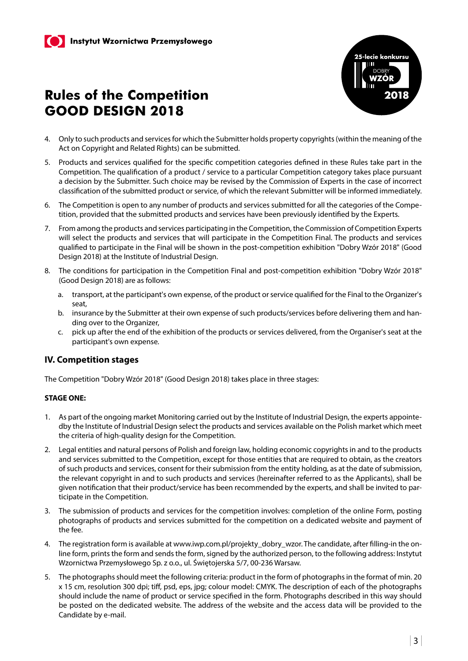

- 4. Only to such products and services for which the Submitter holds property copyrights (within the meaning of the Act on Copyright and Related Rights) can be submitted.
- 5. Products and services qualified for the specific competition categories defined in these Rules take part in the Competition. The qualification of a product / service to a particular Competition category takes place pursuant a decision by the Submitter. Such choice may be revised by the Commission of Experts in the case of incorrect classification of the submitted product or service, of which the relevant Submitter will be informed immediately.
- 6. The Competition is open to any number of products and services submitted for all the categories of the Competition, provided that the submitted products and services have been previously identified by the Experts.
- 7. From among the products and services participating in the Competition, the Commission of Competition Experts will select the products and services that will participate in the Competition Final. The products and services qualified to participate in the Final will be shown in the post-competition exhibition "Dobry Wzór 2018" (Good Design 2018) at the Institute of Industrial Design.
- 8. The conditions for participation in the Competition Final and post-competition exhibition "Dobry Wzór 2018" (Good Design 2018) are as follows:
	- a. transport, at the participant's own expense, of the product or service qualified for the Final to the Organizer's seat,
	- b. insurance by the Submitter at their own expense of such products/services before delivering them and handing over to the Organizer,
	- c. pick up after the end of the exhibition of the products or services delivered, from the Organiser's seat at the participant's own expense.

### **IV. Competition stages**

The Competition "Dobry Wzór 2018" (Good Design 2018) takes place in three stages:

#### **STAGE ONE:**

- 1. As part of the ongoing market Monitoring carried out by the Institute of Industrial Design, the experts appointedby the Institute of Industrial Design select the products and services available on the Polish market which meet the criteria of high-quality design for the Competition.
- 2. Legal entities and natural persons of Polish and foreign law, holding economic copyrights in and to the products and services submitted to the Competition, except for those entities that are required to obtain, as the creators of such products and services, consent for their submission from the entity holding, as at the date of submission, the relevant copyright in and to such products and services (hereinafter referred to as the Applicants), shall be given notification that their product/service has been recommended by the experts, and shall be invited to participate in the Competition.
- 3. The submission of products and services for the competition involves: completion of the online Form, posting photographs of products and services submitted for the competition on a dedicated website and payment of the fee.
- 4. The registration form is available at www.iwp.com.pl/projekty\_dobry\_wzor. The candidate, after filling-in the online form, prints the form and sends the form, signed by the authorized person, to the following address: Instytut Wzornictwa Przemysłowego Sp. z o.o., ul. Świętojerska 5/7, 00-236 Warsaw.
- 5. The photographs should meet the following criteria: product in the form of photographs in the format of min. 20 x 15 cm, resolution 300 dpi; tiff, psd, eps, jpg; colour model: CMYK. The description of each of the photographs should include the name of product or service specified in the form. Photographs described in this way should be posted on the dedicated website. The address of the website and the access data will be provided to the Candidate by e-mail.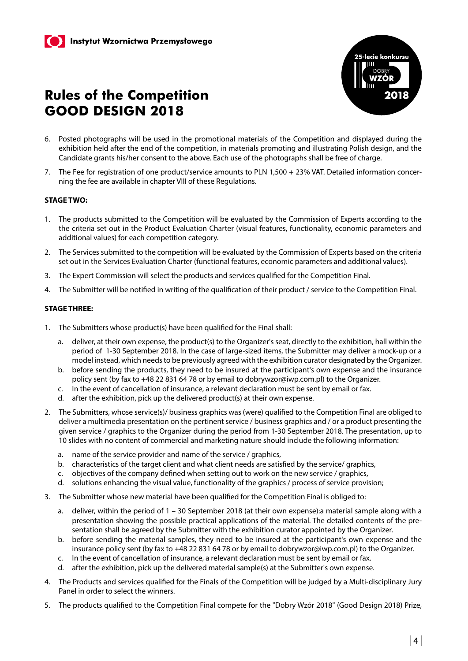

- 6. Posted photographs will be used in the promotional materials of the Competition and displayed during the exhibition held after the end of the competition, in materials promoting and illustrating Polish design, and the Candidate grants his/her consent to the above. Each use of the photographs shall be free of charge.
- 7. The Fee for registration of one product/service amounts to PLN 1,500 + 23% VAT. Detailed information concerning the fee are available in chapter VIII of these Regulations.

#### **STAGE TWO:**

- 1. The products submitted to the Competition will be evaluated by the Commission of Experts according to the the criteria set out in the Product Evaluation Charter (visual features, functionality, economic parameters and additional values) for each competition category.
- 2. The Services submitted to the competition will be evaluated by the Commission of Experts based on the criteria set out in the Services Evaluation Charter (functional features, economic parameters and additional values).
- 3. The Expert Commission will select the products and services qualified for the Competition Final.
- 4. The Submitter will be notified in writing of the qualification of their product / service to the Competition Final.

#### **STAGE THREE:**

- 1. The Submitters whose product(s) have been qualified for the Final shall:
	- a. deliver, at their own expense, the product(s) to the Organizer's seat, directly to the exhibition, hall within the period of 1-30 September 2018. In the case of large-sized items, the Submitter may deliver a mock-up or a model instead, which needs to be previously agreed with the exhibition curator designated by the Organizer.
	- b. before sending the products, they need to be insured at the participant's own expense and the insurance policy sent (by fax to +48 22 831 64 78 or by email to dobrywzor@iwp.com.pl) to the Organizer.
	- c. In the event of cancellation of insurance, a relevant declaration must be sent by email or fax.
	- d. after the exhibition, pick up the delivered product(s) at their own expense.
- 2. The Submitters, whose service(s)/ business graphics was (were) qualified to the Competition Final are obliged to deliver a multimedia presentation on the pertinent service / business graphics and / or a product presenting the given service / graphics to the Organizer during the period from 1-30 September 2018. The presentation, up to 10 slides with no content of commercial and marketing nature should include the following information:
	- a. name of the service provider and name of the service / graphics,
	- b. characteristics of the target client and what client needs are satisfied by the service/ graphics,
	- c. objectives of the company defined when setting out to work on the new service / graphics,
	- d. solutions enhancing the visual value, functionality of the graphics / process of service provision;
- 3. The Submitter whose new material have been qualified for the Competition Final is obliged to:
	- a. deliver, within the period of 1 30 September 2018 (at their own expense):a material sample along with a presentation showing the possible practical applications of the material. The detailed contents of the presentation shall be agreed by the Submitter with the exhibition curator appointed by the Organizer.
	- b. before sending the material samples, they need to be insured at the participant's own expense and the insurance policy sent (by fax to +48 22 831 64 78 or by email to dobrywzor@iwp.com.pl) to the Organizer.
	- c. In the event of cancellation of insurance, a relevant declaration must be sent by email or fax.
	- d. after the exhibition, pick up the delivered material sample(s) at the Submitter's own expense.
- 4. The Products and services qualified for the Finals of the Competition will be judged by a Multi-disciplinary Jury Panel in order to select the winners.
- 5. The products qualified to the Competition Final compete for the "Dobry Wzór 2018" (Good Design 2018) Prize,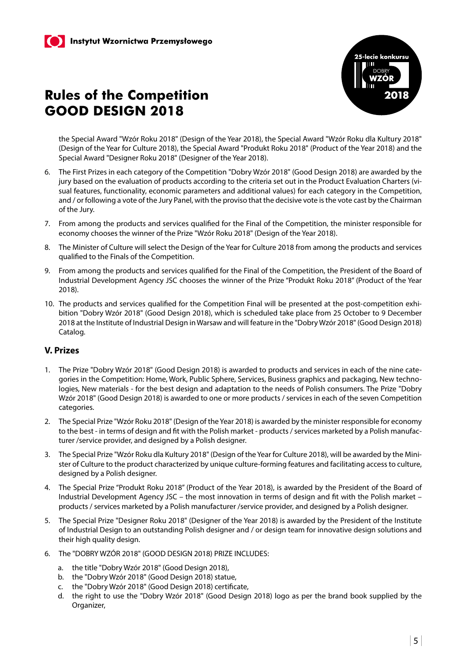

the Special Award "Wzór Roku 2018" (Design of the Year 2018), the Special Award "Wzór Roku dla Kultury 2018" (Design of the Year for Culture 2018), the Special Award "Produkt Roku 2018" (Product of the Year 2018) and the Special Award "Designer Roku 2018" (Designer of the Year 2018).

- 6. The First Prizes in each category of the Competition "Dobry Wzór 2018" (Good Design 2018) are awarded by the jury based on the evaluation of products according to the criteria set out in the Product Evaluation Charters (visual features, functionality, economic parameters and additional values) for each category in the Competition, and / or following a vote of the Jury Panel, with the proviso that the decisive vote is the vote cast by the Chairman of the Jury.
- 7. From among the products and services qualified for the Final of the Competition, the minister responsible for economy chooses the winner of the Prize "Wzór Roku 2018" (Design of the Year 2018).
- 8. The Minister of Culture will select the Design of the Year for Culture 2018 from among the products and services qualified to the Finals of the Competition.
- 9. From among the products and services qualified for the Final of the Competition, the President of the Board of Industrial Development Agency JSC chooses the winner of the Prize "Produkt Roku 2018" (Product of the Year 2018).
- 10. The products and services qualified for the Competition Final will be presented at the post-competition exhibition "Dobry Wzór 2018" (Good Design 2018), which is scheduled take place from 25 October to 9 December 2018 at the Institute of Industrial Design in Warsaw and will feature in the "Dobry Wzór 2018" (Good Design 2018) Catalog.

### **V. Prizes**

- 1. The Prize "Dobry Wzór 2018" (Good Design 2018) is awarded to products and services in each of the nine categories in the Competition: Home, Work, Public Sphere, Services, Business graphics and packaging, New technologies, New materials - for the best design and adaptation to the needs of Polish consumers. The Prize "Dobry Wzór 2018" (Good Design 2018) is awarded to one or more products / services in each of the seven Competition categories.
- 2. The Special Prize "Wzór Roku 2018" (Design of the Year 2018) is awarded by the minister responsible for economy to the best - in terms of design and fit with the Polish market - products / services marketed by a Polish manufacturer /service provider, and designed by a Polish designer.
- 3. The Special Prize "Wzór Roku dla Kultury 2018" (Design of the Year for Culture 2018), will be awarded by the Minister of Culture to the product characterized by unique culture-forming features and facilitating access to culture, designed by a Polish designer.
- 4. The Special Prize "Produkt Roku 2018" (Product of the Year 2018), is awarded by the President of the Board of Industrial Development Agency JSC – the most innovation in terms of design and fit with the Polish market – products / services marketed by a Polish manufacturer /service provider, and designed by a Polish designer.
- 5. The Special Prize "Designer Roku 2018" (Designer of the Year 2018) is awarded by the President of the Institute of Industrial Design to an outstanding Polish designer and / or design team for innovative design solutions and their high quality design.
- 6. The "DOBRY WZÓR 2018" (GOOD DESIGN 2018) PRIZE INCLUDES:
	- a. the title "Dobry Wzór 2018" (Good Design 2018),
	- b. the "Dobry Wzór 2018" (Good Design 2018) statue,
	- c. the "Dobry Wzór 2018" (Good Design 2018) certificate,
	- d. the right to use the "Dobry Wzór 2018" (Good Design 2018) logo as per the brand book supplied by the Organizer,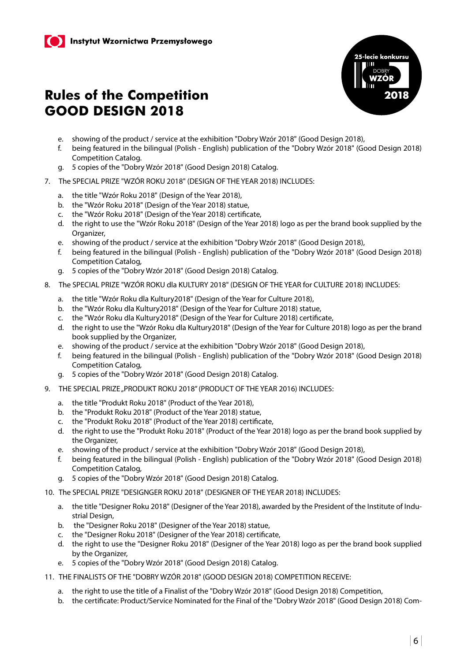

- e. showing of the product / service at the exhibition "Dobry Wzór 2018" (Good Design 2018),
- f. being featured in the bilingual (Polish English) publication of the "Dobry Wzór 2018" (Good Design 2018) Competition Catalog.
- g. 5 copies of the "Dobry Wzór 2018" (Good Design 2018) Catalog.
- 7. The SPECIAL PRIZE "WZÓR ROKU 2018" (DESIGN OF THE YEAR 2018) INCLUDES:
	- a. the title "Wzór Roku 2018" (Design of the Year 2018),
	- b. the "Wzór Roku 2018" (Design of the Year 2018) statue,
	- c. the "Wzór Roku 2018" (Design of the Year 2018) certificate,
	- d. the right to use the "Wzór Roku 2018" (Design of the Year 2018) logo as per the brand book supplied by the Organizer,
	- e. showing of the product / service at the exhibition "Dobry Wzór 2018" (Good Design 2018),
	- f. being featured in the bilingual (Polish English) publication of the "Dobry Wzór 2018" (Good Design 2018) Competition Catalog,
	- g. 5 copies of the "Dobry Wzór 2018" (Good Design 2018) Catalog.
- 8. The SPECIAL PRIZE "WZÓR ROKU dla KULTURY 2018" (DESIGN OF THE YEAR for CULTURE 2018) INCLUDES:
	- a. the title "Wzór Roku dla Kultury2018" (Design of the Year for Culture 2018),
	- b. the "Wzór Roku dla Kultury2018" (Design of the Year for Culture 2018) statue,
	- c. the "Wzór Roku dla Kultury2018" (Design of the Year for Culture 2018) certificate,
	- d. the right to use the "Wzór Roku dla Kultury2018" (Design of the Year for Culture 2018) logo as per the brand book supplied by the Organizer,
	- e. showing of the product / service at the exhibition "Dobry Wzór 2018" (Good Design 2018),
	- f. being featured in the bilingual (Polish English) publication of the "Dobry Wzór 2018" (Good Design 2018) Competition Catalog,
	- g. 5 copies of the "Dobry Wzór 2018" (Good Design 2018) Catalog.
- 9. THE SPECIAL PRIZE "PRODUKT ROKU 2018" (PRODUCT OF THE YEAR 2016) INCLUDES:
	- a. the title "Produkt Roku 2018" (Product of the Year 2018),
	- b. the "Produkt Roku 2018" (Product of the Year 2018) statue,
	- c. the "Produkt Roku 2018" (Product of the Year 2018) certificate,
	- d. the right to use the "Produkt Roku 2018" (Product of the Year 2018) logo as per the brand book supplied by the Organizer,
	- e. showing of the product / service at the exhibition "Dobry Wzór 2018" (Good Design 2018),
	- f. being featured in the bilingual (Polish English) publication of the "Dobry Wzór 2018" (Good Design 2018) Competition Catalog,
	- g. 5 copies of the "Dobry Wzór 2018" (Good Design 2018) Catalog.
- 10. The SPECIAL PRIZE "DESIGNGER ROKU 2018" (DESIGNER OF THE YEAR 2018) INCLUDES:
	- a. the title "Designer Roku 2018" (Designer of the Year 2018), awarded by the President of the Institute of Industrial Design,
	- b. the "Designer Roku 2018" (Designer of the Year 2018) statue,
	- c. the "Designer Roku 2018" (Designer of the Year 2018) certificate,
	- d. the right to use the "Designer Roku 2018" (Designer of the Year 2018) logo as per the brand book supplied by the Organizer,
	- e. 5 copies of the "Dobry Wzór 2018" (Good Design 2018) Catalog.
- 11. THE FINALISTS OF THE "DOBRY WZÓR 2018" (GOOD DESIGN 2018) COMPETITION RECEIVE:
	- a. the right to use the title of a Finalist of the "Dobry Wzór 2018" (Good Design 2018) Competition,
	- b. the certificate: Product/Service Nominated for the Final of the "Dobry Wzór 2018" (Good Design 2018) Com-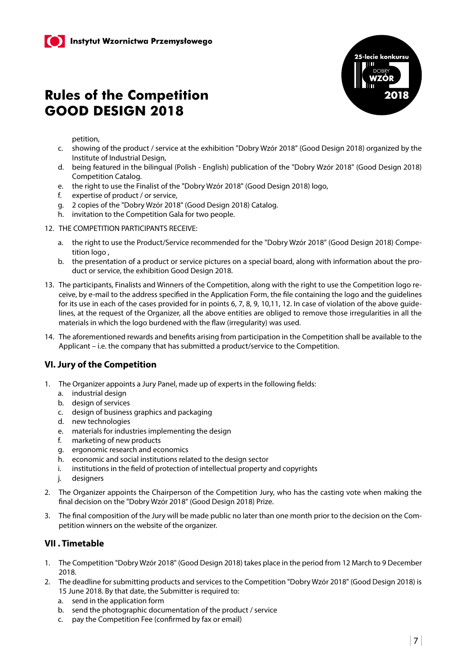

petition,

- c. showing of the product / service at the exhibition "Dobry Wzór 2018" (Good Design 2018) organized by the Institute of Industrial Design,
- d. being featured in the bilingual (Polish English) publication of the "Dobry Wzór 2018" (Good Design 2018) Competition Catalog.
- e. the right to use the Finalist of the "Dobry Wzór 2018" (Good Design 2018) logo,
- f. expertise of product / or service,
- g. 2 copies of the "Dobry Wzór 2018" (Good Design 2018) Catalog.
- h. invitation to the Competition Gala for two people.
- 12. THE COMPETITION PARTICIPANTS RECEIVE:
	- a. the right to use the Product/Service recommended for the "Dobry Wzór 2018" (Good Design 2018) Competition logo ,
	- b. the presentation of a product or service pictures on a special board, along with information about the product or service, the exhibition Good Design 2018.
- 13. The participants, Finalists and Winners of the Competition, along with the right to use the Competition logo receive, by e-mail to the address specified in the Application Form, the file containing the logo and the guidelines for its use in each of the cases provided for in points 6, 7, 8, 9, 10, 11, 12. In case of violation of the above quidelines, at the request of the Organizer, all the above entities are obliged to remove those irregularities in all the materials in which the logo burdened with the flaw (irregularity) was used.
- 14. The aforementioned rewards and benefits arising from participation in the Competition shall be available to the Applicant – i.e. the company that has submitted a product/service to the Competition.

### **VI. Jury of the Competition**

- 1. The Organizer appoints a Jury Panel, made up of experts in the following fields:
	- a. industrial design
	- b. design of services
	- c. design of business graphics and packaging
	- d. new technologies
	- e. materials for industries implementing the design
	- f. marketing of new products
	- g. ergonomic research and economics
	- h. economic and social institutions related to the design sector
	- i. institutions in the field of protection of intellectual property and copyrights
	- j. designers
- 2. The Organizer appoints the Chairperson of the Competition Jury, who has the casting vote when making the final decision on the "Dobry Wzór 2018" (Good Design 2018) Prize.
- 3. The final composition of the Jury will be made public no later than one month prior to the decision on the Competition winners on the website of the organizer.

### **VII . Timetable**

- 1. The Competition "Dobry Wzór 2018" (Good Design 2018) takes place in the period from 12 March to 9 December 2018.
- 2. The deadline for submitting products and services to the Competition "Dobry Wzór 2018" (Good Design 2018) is 15 June 2018. By that date, the Submitter is required to:
	- a. send in the application form
	- b. send the photographic documentation of the product / service
	- c. pay the Competition Fee (confirmed by fax or email)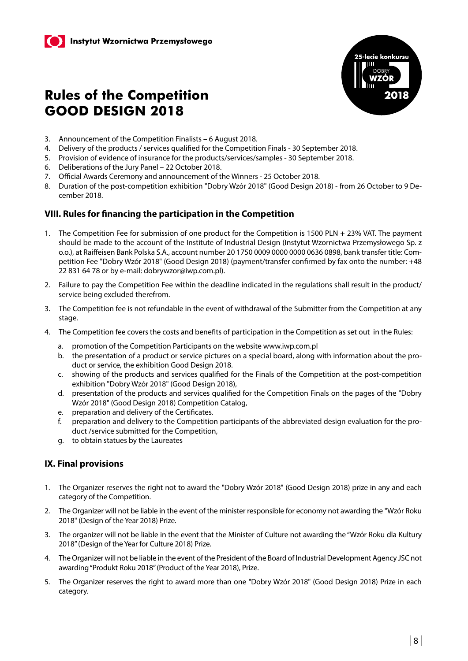

- 3. Announcement of the Competition Finalists 6 August 2018.
- 4. Delivery of the products / services qualified for the Competition Finals 30 September 2018.
- 5. Provision of evidence of insurance for the products/services/samples 30 September 2018.
- 6. Deliberations of the Jury Panel 22 October 2018.
- 7. Official Awards Ceremony and announcement of the Winners 25 October 2018.
- 8. Duration of the post-competition exhibition "Dobry Wzór 2018" (Good Design 2018) from 26 October to 9 December 2018.

### **VIII. Rules for financing the participation in the Competition**

- 1. The Competition Fee for submission of one product for the Competition is 1500 PLN + 23% VAT. The payment should be made to the account of the Institute of Industrial Design (Instytut Wzornictwa Przemysłowego Sp. z o.o.), at Raiffeisen Bank Polska S.A., account number 20 1750 0009 0000 0000 0636 0898, bank transfer title: Competition Fee "Dobry Wzór 2018" (Good Design 2018) (payment/transfer confirmed by fax onto the number: +48 22 831 64 78 or by e-mail: dobrywzor@iwp.com.pl).
- 2. Failure to pay the Competition Fee within the deadline indicated in the regulations shall result in the product/ service being excluded therefrom.
- 3. The Competition fee is not refundable in the event of withdrawal of the Submitter from the Competition at any stage.
- 4. The Competition fee covers the costs and benefits of participation in the Competition as set out in the Rules:
	- a. promotion of the Competition Participants on the website www.iwp.com.pl
	- b. the presentation of a product or service pictures on a special board, along with information about the product or service, the exhibition Good Design 2018.
	- c. showing of the products and services qualified for the Finals of the Competition at the post-competition exhibition "Dobry Wzór 2018" (Good Design 2018),
	- d. presentation of the products and services qualified for the Competition Finals on the pages of the "Dobry Wzór 2018" (Good Design 2018) Competition Catalog,
	- e. preparation and delivery of the Certificates.
	- f. preparation and delivery to the Competition participants of the abbreviated design evaluation for the product /service submitted for the Competition,
	- g. to obtain statues by the Laureates

### **IX. Final provisions**

- 1. The Organizer reserves the right not to award the "Dobry Wzór 2018" (Good Design 2018) prize in any and each category of the Competition.
- 2. The Organizer will not be liable in the event of the minister responsible for economy not awarding the "Wzór Roku 2018" (Design of the Year 2018) Prize.
- 3. The organizer will not be liable in the event that the Minister of Culture not awarding the "Wzór Roku dla Kultury 2018" (Design of the Year for Culture 2018) Prize.
- 4. The Organizer will not be liable in the event of the President of the Board of Industrial Development Agency JSC not awarding "Produkt Roku 2018" (Product of the Year 2018), Prize.
- 5. The Organizer reserves the right to award more than one "Dobry Wzór 2018" (Good Design 2018) Prize in each category.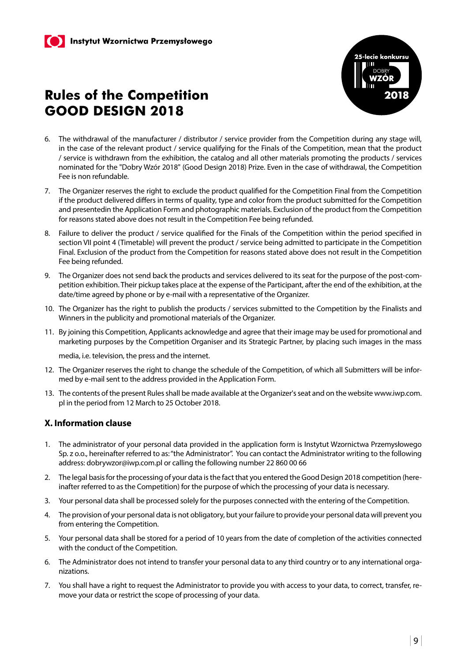

- 6. The withdrawal of the manufacturer / distributor / service provider from the Competition during any stage will, in the case of the relevant product / service qualifying for the Finals of the Competition, mean that the product / service is withdrawn from the exhibition, the catalog and all other materials promoting the products / services nominated for the "Dobry Wzór 2018" (Good Design 2018) Prize. Even in the case of withdrawal, the Competition Fee is non refundable.
- 7. The Organizer reserves the right to exclude the product qualified for the Competition Final from the Competition if the product delivered differs in terms of quality, type and color from the product submitted for the Competition and presentedin the Application Form and photographic materials. Exclusion of the product from the Competition for reasons stated above does not result in the Competition Fee being refunded.
- 8. Failure to deliver the product / service qualified for the Finals of the Competition within the period specified in section VII point 4 (Timetable) will prevent the product / service being admitted to participate in the Competition Final. Exclusion of the product from the Competition for reasons stated above does not result in the Competition Fee being refunded.
- 9. The Organizer does not send back the products and services delivered to its seat for the purpose of the post-competition exhibition. Their pickup takes place at the expense of the Participant, after the end of the exhibition, at the date/time agreed by phone or by e-mail with a representative of the Organizer.
- 10. The Organizer has the right to publish the products / services submitted to the Competition by the Finalists and Winners in the publicity and promotional materials of the Organizer.
- 11. By joining this Competition, Applicants acknowledge and agree that their image may be used for promotional and marketing purposes by the Competition Organiser and its Strategic Partner, by placing such images in the mass

media, i.e. television, the press and the internet.

- 12. The Organizer reserves the right to change the schedule of the Competition, of which all Submitters will be informed by e-mail sent to the address provided in the Application Form.
- 13. The contents of the present Rules shall be made available at the Organizer's seat and on the website www.iwp.com. pl in the period from 12 March to 25 October 2018.

#### **X. Information clause**

- 1. The administrator of your personal data provided in the application form is Instytut Wzornictwa Przemysłowego Sp. z o.o., hereinafter referred to as: "the Administrator". You can contact the Administrator writing to the following address: dobrywzor@iwp.com.pl or calling the following number 22 860 00 66
- 2. The legal basis for the processing of your data is the fact that you entered the Good Design 2018 competition (hereinafter referred to as the Competition) for the purpose of which the processing of your data is necessary.
- 3. Your personal data shall be processed solely for the purposes connected with the entering of the Competition.
- 4. The provision of your personal data is not obligatory, but your failure to provide your personal data will prevent you from entering the Competition.
- 5. Your personal data shall be stored for a period of 10 years from the date of completion of the activities connected with the conduct of the Competition.
- 6. The Administrator does not intend to transfer your personal data to any third country or to any international organizations.
- 7. You shall have a right to request the Administrator to provide you with access to your data, to correct, transfer, remove your data or restrict the scope of processing of your data.